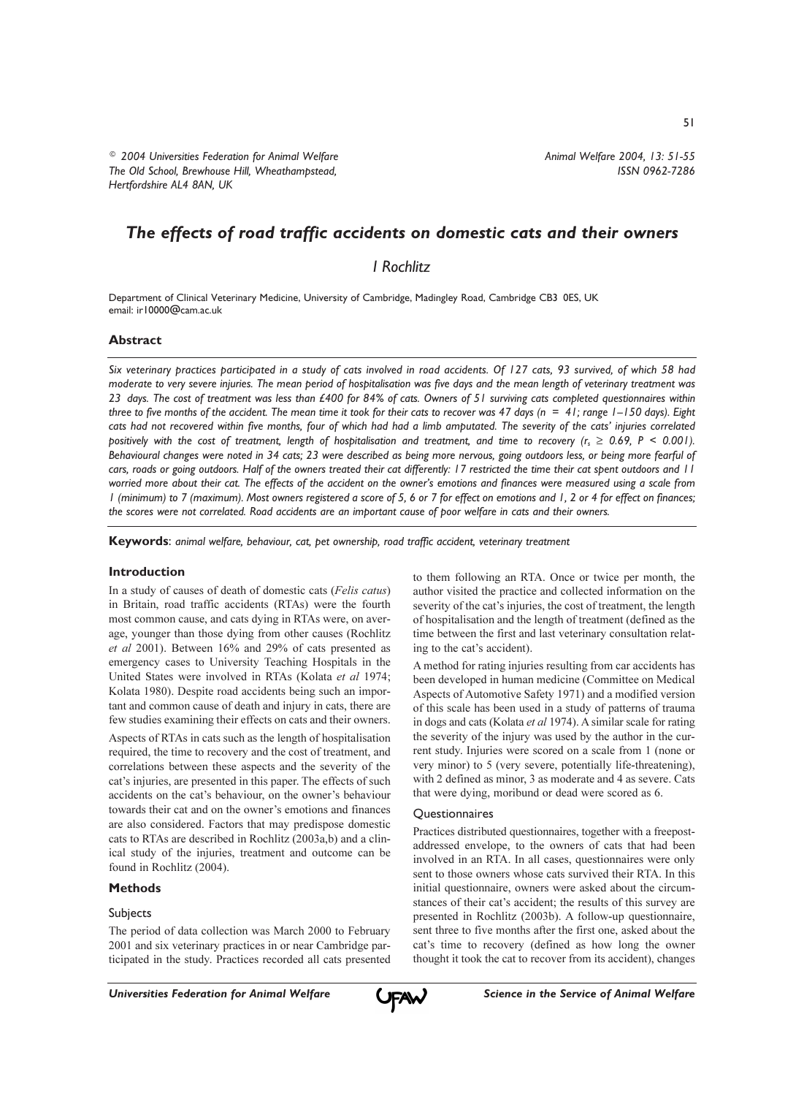<sup>©</sup> 2004 Universities Federation for Animal Welfare The Old School, Brewhouse Hill, Wheathampstead, Hertfordshire AL4 8AN, UK

# The effects of road traffic accidents on domestic cats and their owners

**I** Rochlitz

Department of Clinical Veterinary Medicine, University of Cambridge, Madingley Road, Cambridge CB3 0ES, UK email: ir10000@cam.ac.uk

### **Abstract**

Six veterinary practices participated in a study of cats involved in road accidents. Of 127 cats, 93 survived, of which 58 had moderate to very severe injuries. The mean period of hospitalisation was five days and the mean length of veterinary treatment was 23 days. The cost of treatment was less than £400 for 84% of cats. Owners of 51 surviving cats completed questionnaires within three to five months of the accident. The mean time it took for their cats to recover was 47 days ( $n = 41$ ; range  $1 - 150$  days). Eight cats had not recovered within five months, four of which had had a limb amputated. The severity of the cats' injuries correlated positively with the cost of treatment, length of hospitalisation and treatment, and time to recovery ( $r_s \ge 0.69$ , P < 0.001). Behavioural changes were noted in 34 cats; 23 were described as being more nervous, going outdoors less, or being more fearful of cars, roads or going outdoors. Half of the owners treated their cat differently: 17 restricted the time their cat spent outdoors and 11 worried more about their cat. The effects of the accident on the owner's emotions and finances were measured using a scale from I (minimum) to 7 (maximum). Most owners registered a score of 5, 6 or 7 for effect on emotions and 1, 2 or 4 for effect on finances; the scores were not correlated. Road accidents are an important cause of poor welfare in cats and their owners.

Keywords: animal welfare, behaviour, cat, pet ownership, road traffic accident, veterinary treatment

#### **Introduction**

In a study of causes of death of domestic cats (Felis catus) in Britain, road traffic accidents (RTAs) were the fourth most common cause, and cats dying in RTAs were, on average, younger than those dying from other causes (Rochlitz et al 2001). Between 16% and 29% of cats presented as emergency cases to University Teaching Hospitals in the United States were involved in RTAs (Kolata et al 1974; Kolata 1980). Despite road accidents being such an important and common cause of death and injury in cats, there are few studies examining their effects on cats and their owners.

Aspects of RTAs in cats such as the length of hospitalisation required, the time to recovery and the cost of treatment, and correlations between these aspects and the severity of the cat's injuries, are presented in this paper. The effects of such accidents on the cat's behaviour, on the owner's behaviour towards their cat and on the owner's emotions and finances are also considered. Factors that may predispose domestic cats to RTAs are described in Rochlitz (2003a,b) and a clinical study of the injuries, treatment and outcome can be found in Rochlitz (2004).

# **Methods**

#### Subjects

The period of data collection was March 2000 to February 2001 and six veterinary practices in or near Cambridge participated in the study. Practices recorded all cats presented to them following an RTA. Once or twice per month, the author visited the practice and collected information on the severity of the cat's injuries, the cost of treatment, the length of hospitalisation and the length of treatment (defined as the time between the first and last veterinary consultation relating to the cat's accident).

A method for rating injuries resulting from car accidents has been developed in human medicine (Committee on Medical Aspects of Automotive Safety 1971) and a modified version of this scale has been used in a study of patterns of trauma in dogs and cats (Kolata et al 1974). A similar scale for rating the severity of the injury was used by the author in the current study. Injuries were scored on a scale from 1 (none or very minor) to 5 (very severe, potentially life-threatening), with 2 defined as minor, 3 as moderate and 4 as severe. Cats that were dying, moribund or dead were scored as 6.

#### Questionnaires

Practices distributed questionnaires, together with a freepostaddressed envelope, to the owners of cats that had been involved in an RTA. In all cases, questionnaires were only sent to those owners whose cats survived their RTA. In this initial questionnaire, owners were asked about the circumstances of their cat's accident; the results of this survey are presented in Rochlitz (2003b). A follow-up questionnaire, sent three to five months after the first one, asked about the cat's time to recovery (defined as how long the owner thought it took the cat to recover from its accident), changes

ISSN 0962-7286

Animal Welfare 2004, 13: 51-55

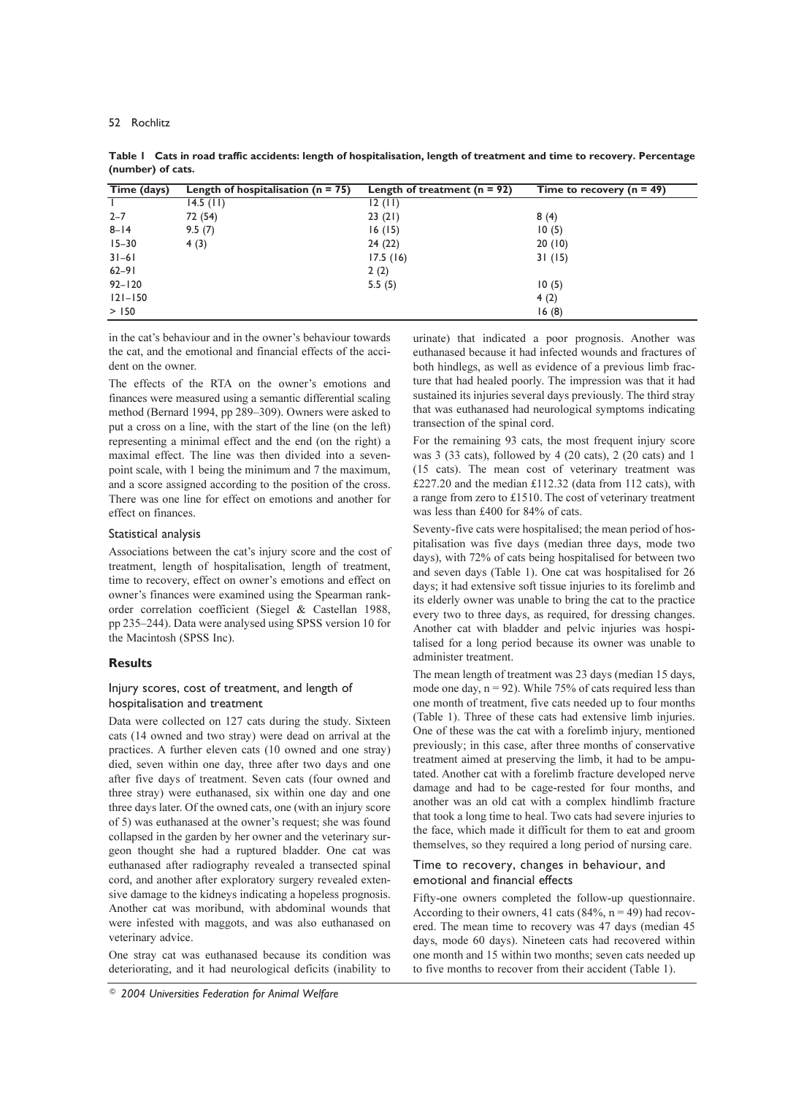| Time (days) | Length of hospitalisation ( $n = 75$ ) | Length of treatment $(n = 92)$ | Time to recovery $(n = 49)$ |
|-------------|----------------------------------------|--------------------------------|-----------------------------|
|             | $14.5$ (11)                            | 12(11)                         |                             |
| $2 - 7$     | 72 (54)                                | 23(21)                         | 8(4)                        |
| $8 - 14$    | 9.5(7)                                 | 16(15)                         | 10(5)                       |
| $15 - 30$   | 4(3)                                   | 24(22)                         | 20(10)                      |
| $31 - 61$   |                                        | 17.5(16)                       | 31(15)                      |
| $62 - 91$   |                                        | 2(2)                           |                             |
| $92 - 120$  |                                        | 5.5(5)                         | 10(5)                       |
| $121 - 150$ |                                        |                                | 4(2)                        |
| > 150       |                                        |                                | 16(8)                       |

Table | Cats in road traffic accidents: length of hospitalisation, length of treatment and time to recovery. Percentage (number) of cats.

in the cat's behaviour and in the owner's behaviour towards the cat, and the emotional and financial effects of the accident on the owner.

The effects of the RTA on the owner's emotions and finances were measured using a semantic differential scaling method (Bernard 1994, pp 289-309). Owners were asked to put a cross on a line, with the start of the line (on the left) representing a minimal effect and the end (on the right) a maximal effect. The line was then divided into a sevenpoint scale, with 1 being the minimum and 7 the maximum, and a score assigned according to the position of the cross. There was one line for effect on emotions and another for effect on finances.

### Statistical analysis

Associations between the cat's injury score and the cost of treatment, length of hospitalisation, length of treatment, time to recovery, effect on owner's emotions and effect on owner's finances were examined using the Spearman rankorder correlation coefficient (Siegel & Castellan 1988, pp 235-244). Data were analysed using SPSS version 10 for the Macintosh (SPSS Inc).

# **Results**

# Injury scores, cost of treatment, and length of hospitalisation and treatment

Data were collected on 127 cats during the study. Sixteen cats (14 owned and two stray) were dead on arrival at the practices. A further eleven cats (10 owned and one stray) died, seven within one day, three after two days and one after five days of treatment. Seven cats (four owned and three stray) were euthanased, six within one day and one three days later. Of the owned cats, one (with an injury score of 5) was euthanased at the owner's request; she was found collapsed in the garden by her owner and the veterinary surgeon thought she had a ruptured bladder. One cat was euthanased after radiography revealed a transected spinal cord, and another after exploratory surgery revealed extensive damage to the kidneys indicating a hopeless prognosis. Another cat was moribund, with abdominal wounds that were infested with maggots, and was also euthanased on veterinary advice.

One stray cat was euthanased because its condition was deteriorating, and it had neurological deficits (inability to

urinate) that indicated a poor prognosis. Another was euthanased because it had infected wounds and fractures of both hindlegs, as well as evidence of a previous limb fracture that had healed poorly. The impression was that it had sustained its injuries several days previously. The third stray that was euthanased had neurological symptoms indicating transection of the spinal cord.

For the remaining 93 cats, the most frequent injury score was 3 (33 cats), followed by 4 (20 cats), 2 (20 cats) and 1 (15 cats). The mean cost of veterinary treatment was £227.20 and the median £112.32 (data from 112 cats), with a range from zero to £1510. The cost of veterinary treatment was less than £400 for 84% of cats.

Seventy-five cats were hospitalised; the mean period of hospitalisation was five days (median three days, mode two days), with 72% of cats being hospitalised for between two and seven days (Table 1). One cat was hospitalised for 26 days; it had extensive soft tissue injuries to its forelimb and its elderly owner was unable to bring the cat to the practice every two to three days, as required, for dressing changes. Another cat with bladder and pelvic injuries was hospitalised for a long period because its owner was unable to administer treatment.

The mean length of treatment was 23 days (median 15 days, mode one day,  $n = 92$ ). While 75% of cats required less than one month of treatment, five cats needed up to four months (Table 1). Three of these cats had extensive limb injuries. One of these was the cat with a forelimb injury, mentioned previously; in this case, after three months of conservative treatment aimed at preserving the limb, it had to be amputated. Another cat with a forelimb fracture developed nerve damage and had to be cage-rested for four months, and another was an old cat with a complex hindlimb fracture that took a long time to heal. Two cats had severe injuries to the face, which made it difficult for them to eat and groom themselves, so they required a long period of nursing care.

## Time to recovery, changes in behaviour, and emotional and financial effects

Fifty-one owners completed the follow-up questionnaire. According to their owners, 41 cats (84%,  $n = 49$ ) had recovered. The mean time to recovery was 47 days (median 45 days, mode 60 days). Nineteen cats had recovered within one month and 15 within two months; seven cats needed up to five months to recover from their accident (Table 1).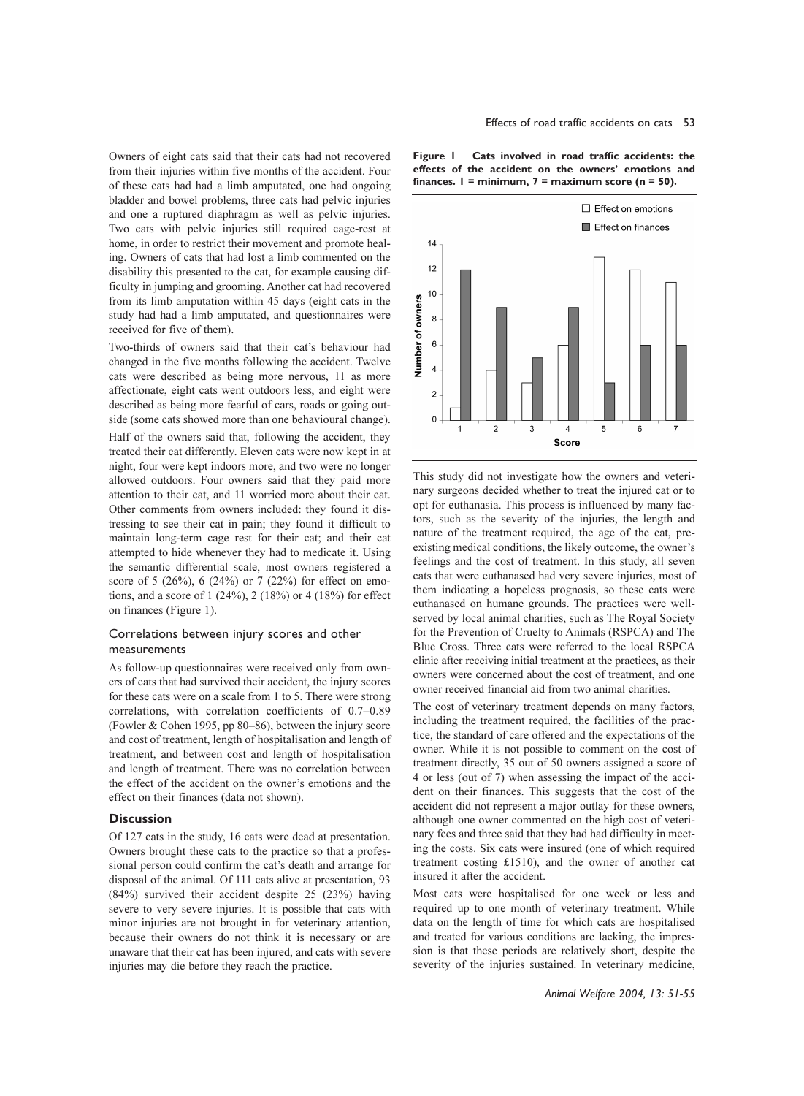Owners of eight cats said that their cats had not recovered from their injuries within five months of the accident. Four of these cats had had a limb amputated, one had ongoing bladder and bowel problems, three cats had pelvic injuries and one a ruptured diaphragm as well as pelvic injuries. Two cats with pelvic injuries still required cage-rest at home, in order to restrict their movement and promote healing. Owners of cats that had lost a limb commented on the disability this presented to the cat, for example causing difficulty in jumping and grooming. Another cat had recovered from its limb amputation within 45 days (eight cats in the study had had a limb amputated, and questionnaires were received for five of them).

Two-thirds of owners said that their cat's behaviour had changed in the five months following the accident. Twelve cats were described as being more nervous, 11 as more affectionate, eight cats went outdoors less, and eight were described as being more fearful of cars, roads or going outside (some cats showed more than one behavioural change).

Half of the owners said that, following the accident, they treated their cat differently. Eleven cats were now kept in at night, four were kept indoors more, and two were no longer allowed outdoors. Four owners said that they paid more attention to their cat, and 11 worried more about their cat. Other comments from owners included: they found it distressing to see their cat in pain; they found it difficult to maintain long-term cage rest for their cat; and their cat attempted to hide whenever they had to medicate it. Using the semantic differential scale, most owners registered a score of 5 (26%), 6 (24%) or 7 (22%) for effect on emotions, and a score of  $1(24\%)$ ,  $2(18\%)$  or  $4(18\%)$  for effect on finances (Figure 1).

### Correlations between injury scores and other measurements

As follow-up questionnaires were received only from owners of cats that had survived their accident, the injury scores for these cats were on a scale from 1 to 5. There were strong correlations, with correlation coefficients of 0.7–0.89 (Fowler & Cohen 1995, pp 80–86), between the injury score and cost of treatment, length of hospitalisation and length of treatment, and between cost and length of hospitalisation and length of treatment. There was no correlation between the effect of the accident on the owner's emotions and the effect on their finances (data not shown).

### **Discussion**

Of 127 cats in the study, 16 cats were dead at presentation. Owners brought these cats to the practice so that a professional person could confirm the cat's death and arrange for disposal of the animal. Of 111 cats alive at presentation, 93 (84%) survived their accident despite 25 (23%) having severe to very severe injuries. It is possible that cats with minor injuries are not brought in for veterinary attention, because their owners do not think it is necessary or are unaware that their cat has been injured, and cats with severe injuries may die before they reach the practice.





This study did not investigate how the owners and veterinary surgeons decided whether to treat the injured cat or to opt for euthanasia. This process is influenced by many factors, such as the severity of the injuries, the length and nature of the treatment required, the age of the cat, preexisting medical conditions, the likely outcome, the owner's feelings and the cost of treatment. In this study, all seven cats that were euthanased had very severe injuries, most of them indicating a hopeless prognosis, so these cats were euthanased on humane grounds. The practices were wellserved by local animal charities, such as The Royal Society for the Prevention of Cruelty to Animals (RSPCA) and The Blue Cross. Three cats were referred to the local RSPCA clinic after receiving initial treatment at the practices, as their owners were concerned about the cost of treatment, and one owner received financial aid from two animal charities.

The cost of veterinary treatment depends on many factors, including the treatment required, the facilities of the practice, the standard of care offered and the expectations of the owner. While it is not possible to comment on the cost of treatment directly, 35 out of 50 owners assigned a score of 4 or less (out of 7) when assessing the impact of the accident on their finances. This suggests that the cost of the accident did not represent a major outlay for these owners, although one owner commented on the high cost of veterinary fees and three said that they had had difficulty in meeting the costs. Six cats were insured (one of which required treatment costing £1510), and the owner of another cat insured it after the accident.

Most cats were hospitalised for one week or less and required up to one month of veterinary treatment. While data on the length of time for which cats are hospitalised and treated for various conditions are lacking, the impression is that these periods are relatively short, despite the severity of the injuries sustained. In veterinary medicine,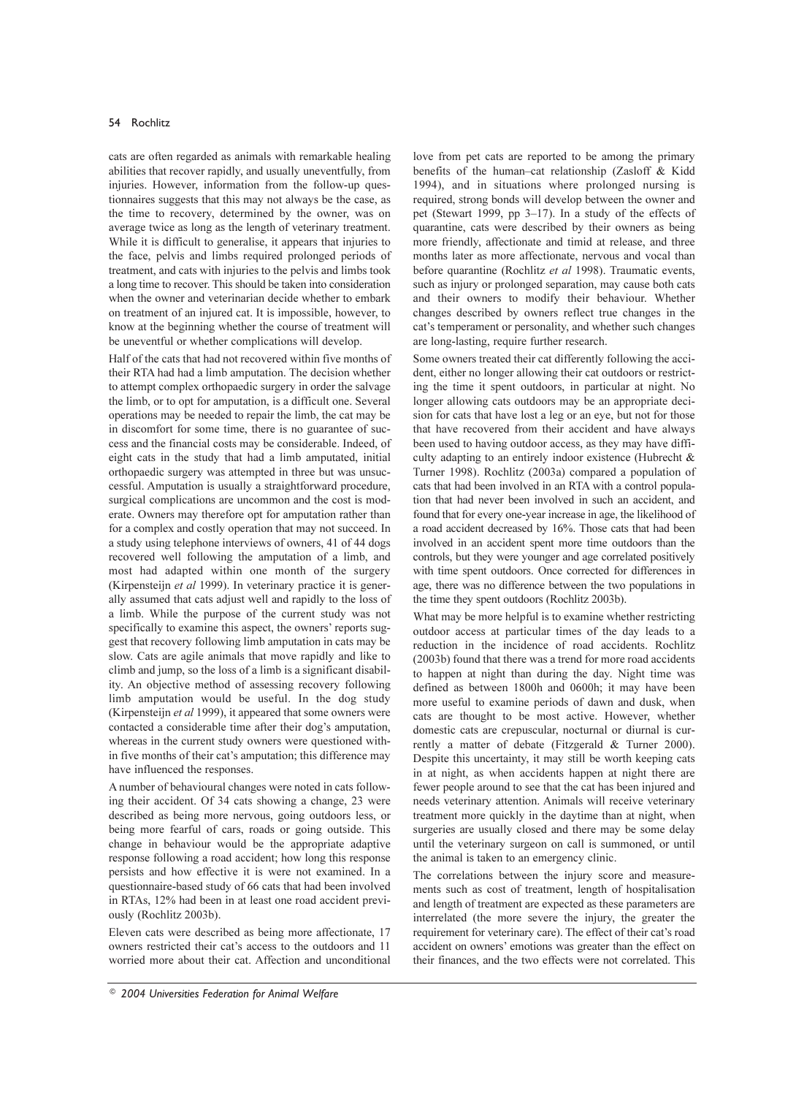cats are often regarded as animals with remarkable healing abilities that recover rapidly, and usually uneventfully, from injuries. However, information from the follow-up questionnaires suggests that this may not always be the case, as the time to recovery, determined by the owner, was on average twice as long as the length of veterinary treatment. While it is difficult to generalise, it appears that injuries to the face, pelvis and limbs required prolonged periods of treatment, and cats with injuries to the pelvis and limbs took a long time to recover. This should be taken into consideration when the owner and veterinarian decide whether to embark on treatment of an injured cat. It is impossible, however, to know at the beginning whether the course of treatment will be uneventful or whether complications will develop.

Half of the cats that had not recovered within five months of their RTA had had a limb amputation. The decision whether to attempt complex orthopaedic surgery in order the salvage the limb, or to opt for amputation, is a difficult one. Several operations may be needed to repair the limb, the cat may be in discomfort for some time, there is no guarantee of success and the financial costs may be considerable. Indeed, of eight cats in the study that had a limb amputated, initial orthopaedic surgery was attempted in three but was unsuccessful. Amputation is usually a straightforward procedure, surgical complications are uncommon and the cost is moderate. Owners may therefore opt for amputation rather than for a complex and costly operation that may not succeed. In a study using telephone interviews of owners, 41 of 44 dogs recovered well following the amputation of a limb, and most had adapted within one month of the surgery (Kirpensteijn et al 1999). In veterinary practice it is generally assumed that cats adjust well and rapidly to the loss of a limb. While the purpose of the current study was not specifically to examine this aspect, the owners' reports suggest that recovery following limb amputation in cats may be slow. Cats are agile animals that move rapidly and like to climb and jump, so the loss of a limb is a significant disability. An objective method of assessing recovery following limb amputation would be useful. In the dog study (Kirpensteijn et al 1999), it appeared that some owners were contacted a considerable time after their dog's amputation, whereas in the current study owners were questioned within five months of their cat's amputation; this difference may have influenced the responses.

A number of behavioural changes were noted in cats following their accident. Of 34 cats showing a change, 23 were described as being more nervous, going outdoors less, or being more fearful of cars, roads or going outside. This change in behaviour would be the appropriate adaptive response following a road accident; how long this response persists and how effective it is were not examined. In a questionnaire-based study of 66 cats that had been involved in RTAs, 12% had been in at least one road accident previously (Rochlitz 2003b).

Eleven cats were described as being more affectionate, 17 owners restricted their cat's access to the outdoors and 11 worried more about their cat. Affection and unconditional love from pet cats are reported to be among the primary benefits of the human-cat relationship (Zasloff & Kidd 1994), and in situations where prolonged nursing is required, strong bonds will develop between the owner and pet (Stewart 1999, pp 3–17). In a study of the effects of quarantine, cats were described by their owners as being more friendly, affectionate and timid at release, and three months later as more affectionate, nervous and vocal than before quarantine (Rochlitz et al 1998). Traumatic events, such as injury or prolonged separation, may cause both cats and their owners to modify their behaviour. Whether changes described by owners reflect true changes in the cat's temperament or personality, and whether such changes are long-lasting, require further research.

Some owners treated their cat differently following the accident, either no longer allowing their cat outdoors or restricting the time it spent outdoors, in particular at night. No longer allowing cats outdoors may be an appropriate decision for cats that have lost a leg or an eye, but not for those that have recovered from their accident and have always been used to having outdoor access, as they may have difficulty adapting to an entirely indoor existence (Hubrecht & Turner 1998). Rochlitz (2003a) compared a population of cats that had been involved in an RTA with a control population that had never been involved in such an accident, and found that for every one-year increase in age, the likelihood of a road accident decreased by 16%. Those cats that had been involved in an accident spent more time outdoors than the controls, but they were younger and age correlated positively with time spent outdoors. Once corrected for differences in age, there was no difference between the two populations in the time they spent outdoors (Rochlitz 2003b).

What may be more helpful is to examine whether restricting outdoor access at particular times of the day leads to a reduction in the incidence of road accidents. Rochlitz (2003b) found that there was a trend for more road accidents to happen at night than during the day. Night time was defined as between 1800h and 0600h; it may have been more useful to examine periods of dawn and dusk, when cats are thought to be most active. However, whether domestic cats are crepuscular, nocturnal or diurnal is currently a matter of debate (Fitzgerald & Turner 2000). Despite this uncertainty, it may still be worth keeping cats in at night, as when accidents happen at night there are fewer people around to see that the cat has been injured and needs veterinary attention. Animals will receive veterinary treatment more quickly in the daytime than at night, when surgeries are usually closed and there may be some delay until the veterinary surgeon on call is summoned, or until the animal is taken to an emergency clinic.

The correlations between the injury score and measurements such as cost of treatment, length of hospitalisation and length of treatment are expected as these parameters are interrelated (the more severe the injury, the greater the requirement for veterinary care). The effect of their cat's road accident on owners' emotions was greater than the effect on their finances, and the two effects were not correlated. This